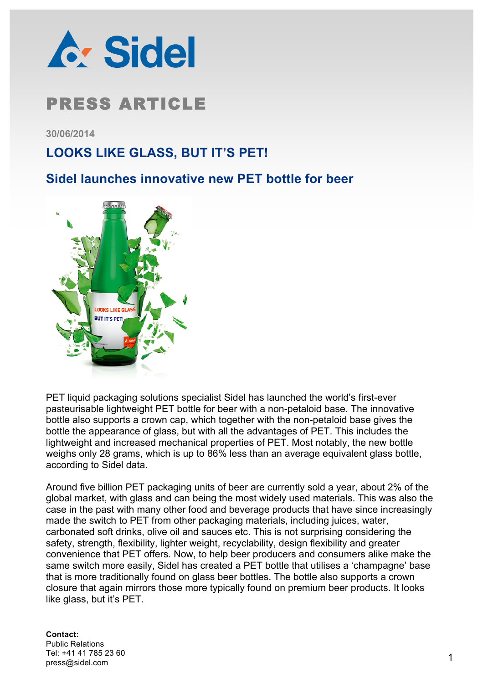

**30/06/2014**

## **LOOKS LIKE GLASS, BUT IT'S PET!**

### **Sidel launches innovative new PET bottle for beer**



PET liquid packaging solutions specialist Sidel has launched the world's first-ever pasteurisable lightweight PET bottle for beer with a non-petaloid base. The innovative bottle also supports a crown cap, which together with the non-petaloid base gives the bottle the appearance of glass, but with all the advantages of PET. This includes the lightweight and increased mechanical properties of PET. Most notably, the new bottle weighs only 28 grams, which is up to 86% less than an average equivalent glass bottle, according to Sidel data.

Around five billion PET packaging units of beer are currently sold a year, about 2% of the global market, with glass and can being the most widely used materials. This was also the case in the past with many other food and beverage products that have since increasingly made the switch to PET from other packaging materials, including juices, water, carbonated soft drinks, olive oil and sauces etc. This is not surprising considering the safety, strength, flexibility, lighter weight, recyclability, design flexibility and greater convenience that PET offers. Now, to help beer producers and consumers alike make the same switch more easily, Sidel has created a PET bottle that utilises a 'champagne' base that is more traditionally found on glass beer bottles. The bottle also supports a crown closure that again mirrors those more typically found on premium beer products. It looks like glass, but it's PET.

### **Contact:**

Public Relations Tel: +41 41 785 23 60 press@sidel.com 1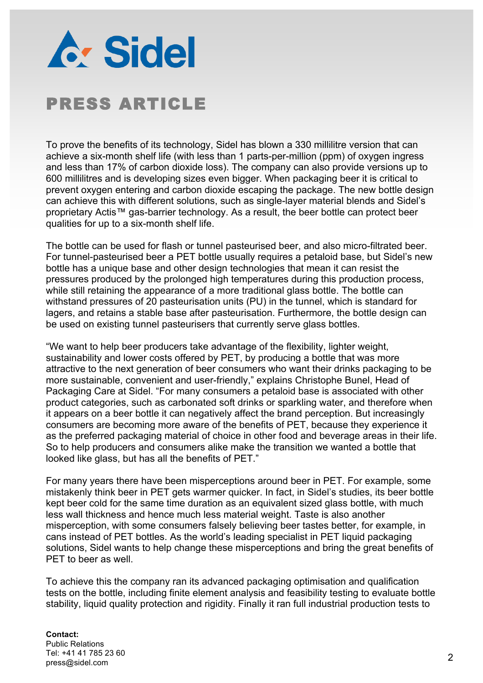

To prove the benefits of its technology, Sidel has blown a 330 millilitre version that can achieve a six-month shelf life (with less than 1 parts-per-million (ppm) of oxygen ingress and less than 17% of carbon dioxide loss). The company can also provide versions up to 600 millilitres and is developing sizes even bigger. When packaging beer it is critical to prevent oxygen entering and carbon dioxide escaping the package. The new bottle design can achieve this with different solutions, such as single-layer material blends and Sidel's proprietary Actis™ gas-barrier technology. As a result, the beer bottle can protect beer qualities for up to a six-month shelf life.

The bottle can be used for flash or tunnel pasteurised beer, and also micro-filtrated beer. For tunnel-pasteurised beer a PET bottle usually requires a petaloid base, but Sidel's new bottle has a unique base and other design technologies that mean it can resist the pressures produced by the prolonged high temperatures during this production process, while still retaining the appearance of a more traditional glass bottle. The bottle can withstand pressures of 20 pasteurisation units (PU) in the tunnel, which is standard for lagers, and retains a stable base after pasteurisation. Furthermore, the bottle design can be used on existing tunnel pasteurisers that currently serve glass bottles.

"We want to help beer producers take advantage of the flexibility, lighter weight, sustainability and lower costs offered by PET, by producing a bottle that was more attractive to the next generation of beer consumers who want their drinks packaging to be more sustainable, convenient and user-friendly," explains Christophe Bunel, Head of Packaging Care at Sidel. "For many consumers a petaloid base is associated with other product categories, such as carbonated soft drinks or sparkling water, and therefore when it appears on a beer bottle it can negatively affect the brand perception. But increasingly consumers are becoming more aware of the benefits of PET, because they experience it as the preferred packaging material of choice in other food and beverage areas in their life. So to help producers and consumers alike make the transition we wanted a bottle that looked like glass, but has all the benefits of PET."

For many years there have been misperceptions around beer in PET. For example, some mistakenly think beer in PET gets warmer quicker. In fact, in Sidel's studies, its beer bottle kept beer cold for the same time duration as an equivalent sized glass bottle, with much less wall thickness and hence much less material weight. Taste is also another misperception, with some consumers falsely believing beer tastes better, for example, in cans instead of PET bottles. As the world's leading specialist in PET liquid packaging solutions, Sidel wants to help change these misperceptions and bring the great benefits of PET to beer as well.

To achieve this the company ran its advanced packaging optimisation and qualification tests on the bottle, including finite element analysis and feasibility testing to evaluate bottle stability, liquid quality protection and rigidity. Finally it ran full industrial production tests to

#### **Contact:** Public Relations Tel: +41 41 785 23 60 press@sidel.com 2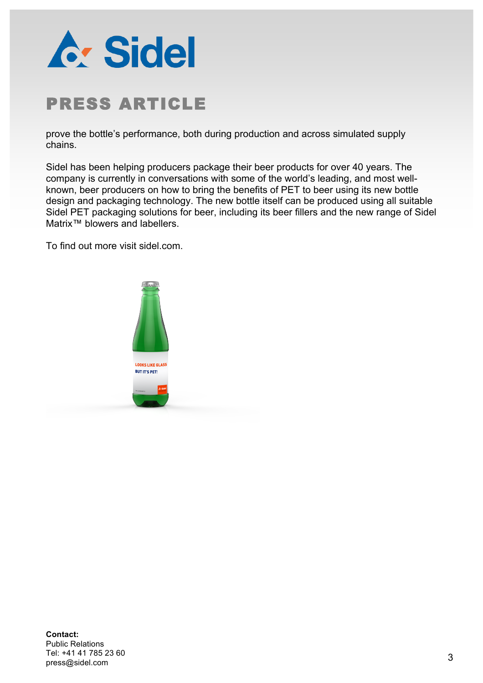

prove the bottle's performance, both during production and across simulated supply chains.

Sidel has been helping producers package their beer products for over 40 years. The company is currently in conversations with some of the world's leading, and most wellknown, beer producers on how to bring the benefits of PET to beer using its new bottle design and packaging technology. The new bottle itself can be produced using all suitable Sidel PET packaging solutions for beer, including its beer fillers and the new range of Sidel Matrix™ blowers and labellers.

To find out more visit sidel.com.